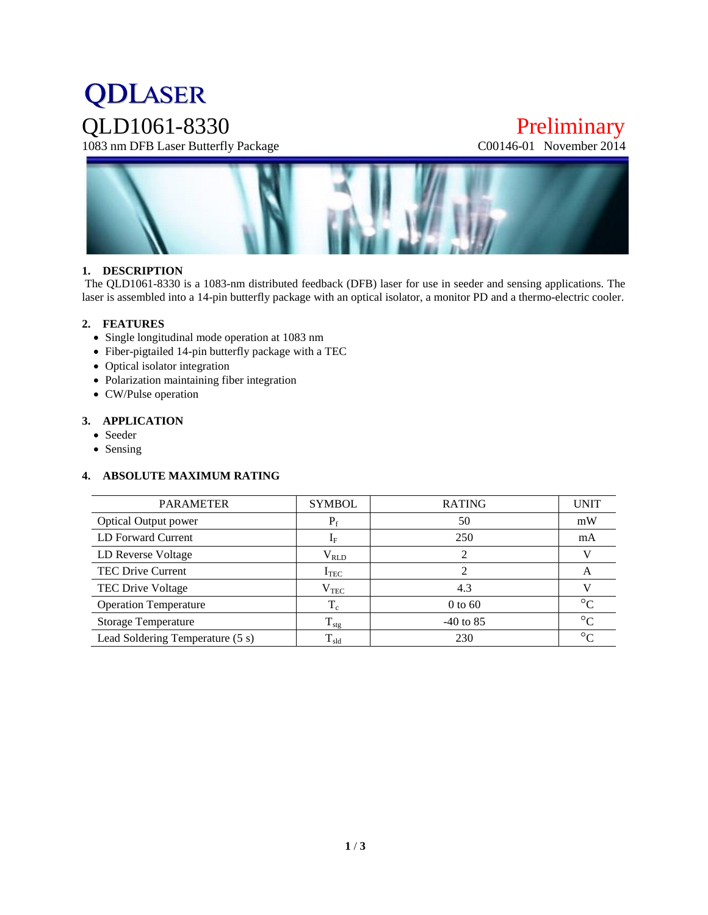# **QDLASER** QLD1061-8330 Preliminary<br>1083 nm DFB Laser Butterfly Package C00146-01 November 2014

1083 nm DFB Laser Butterfly Package



#### **1. DESCRIPTION**

The QLD1061-8330 is a 1083-nm distributed feedback (DFB) laser for use in seeder and sensing applications. The laser is assembled into a 14-pin butterfly package with an optical isolator, a monitor PD and a thermo-electric cooler.

#### **2. FEATURES**

- Single longitudinal mode operation at 1083 nm
- Fiber-pigtailed 14-pin butterfly package with a TEC
- Optical isolator integration
- Polarization maintaining fiber integration
- CW/Pulse operation

#### **3. APPLICATION**

- Seeder
- Sensing

#### **4. ABSOLUTE MAXIMUM RATING**

| <b>PARAMETER</b>                 | <b>SYMBOL</b>     | <b>RATING</b> | <b>UNIT</b> |
|----------------------------------|-------------------|---------------|-------------|
| <b>Optical Output power</b>      | $P_f$             | 50            | mW          |
| LD Forward Current               | $I_F$             | 250           | mA          |
| LD Reverse Voltage               | $\rm V_{\rm RLD}$ |               |             |
| <b>TEC Drive Current</b>         | $I_{TEC}$         |               | A           |
| TEC Drive Voltage                | $\rm V_{TEC}$     | 4.3           |             |
| <b>Operation Temperature</b>     | $T_c$             | $0$ to $60$   | $\circ$     |
| <b>Storage Temperature</b>       | $T_{\rm stg}$     | $-40$ to 85   | $\circ$     |
| Lead Soldering Temperature (5 s) | $T_{\rm sld}$     | 230           | $\circ$     |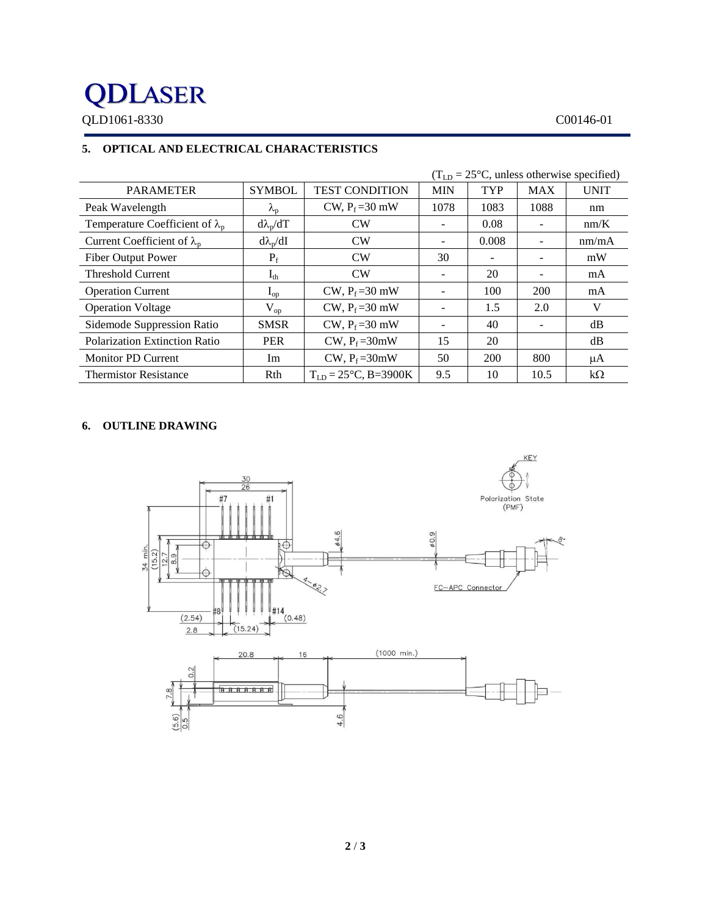## **QDLASER** QLD1061-8330 C00146-01

## **5. OPTICAL AND ELECTRICAL CHARACTERISTICS**

|                                        | $(T_{LD} = 25\degree C$ , unless otherwise specified) |                                  |                          |                              |            |             |
|----------------------------------------|-------------------------------------------------------|----------------------------------|--------------------------|------------------------------|------------|-------------|
| <b>PARAMETER</b>                       | <b>SYMBOL</b>                                         | <b>TEST CONDITION</b>            | <b>MIN</b>               | <b>TYP</b>                   | <b>MAX</b> | <b>UNIT</b> |
| Peak Wavelength                        | $\lambda_{p}$                                         | CW, $P_f = 30$ mW                | 1078                     | 1083                         | 1088       | nm          |
| Temperature Coefficient of $\lambda_n$ | $d\lambda_p/dT$                                       | CW                               |                          | 0.08                         |            | nm/K        |
| Current Coefficient of $\lambda_{p}$   | $d\lambda_p/dI$                                       | CW                               | ۰                        | 0.008                        |            | nm/mA       |
| <b>Fiber Output Power</b>              | $P_f$                                                 | CW                               | 30                       | $\qquad \qquad \blacksquare$ |            | mW          |
| <b>Threshold Current</b>               | $I_{th}$                                              | CW                               | -                        | 20                           |            | mA          |
| <b>Operation Current</b>               | $I_{op}$                                              | CW, $P_f = 30$ mW                | -                        | 100                          | 200        | mA          |
| <b>Operation Voltage</b>               | $V_{op}$                                              | CW, $P_f = 30$ mW                | $\overline{\phantom{0}}$ | 1.5                          | 2.0        | V           |
| Sidemode Suppression Ratio             | <b>SMSR</b>                                           | CW, $P_f = 30$ mW                |                          | 40                           |            | dB          |
| <b>Polarization Extinction Ratio</b>   | <b>PER</b>                                            | CW, $P_f = 30$ mW                | 15                       | 20                           |            | dB          |
| <b>Monitor PD Current</b>              | Im                                                    | CW, $P_f = 30$ mW                | 50                       | 200                          | 800        | μA          |
| <b>Thermistor Resistance</b>           | Rth                                                   | $T_{LD} = 25^{\circ}C$ , B=3900K | 9.5                      | 10                           | 10.5       | $k\Omega$   |

## **6. OUTLINE DRAWING**